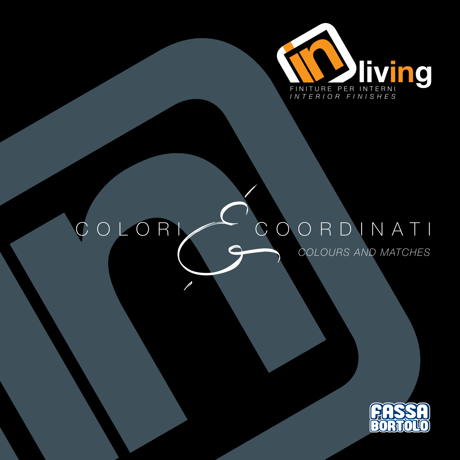

## COLORI COORDINATI &*COLOURS AND MATCHES*

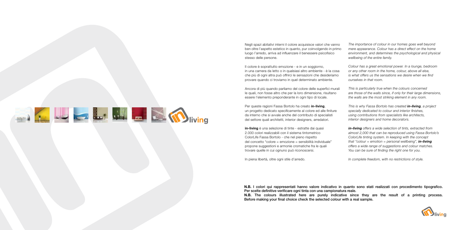Negli spazi abitativi interni il colore acquisisce valori che vanno ben oltre l'aspetto estetico in quanto, pur coinvolgendo in primo luogo l'arredo, arriva ad influenzare il benessere psicofisico stesso delle persone.

Il colore è soprattutto emozione - e in un soggiorno, in una camera da letto o in qualsiasi altro ambiente - è la cosa che più di ogni altra può offrirci le sensazioni che desideriamo provare quando ci troviamo in quel determinato ambiente.

Ancora di più quando parliamo del colore delle superfici murali le quali, non fosse altro che per la loro dimensione, risultano essere l'elemento preponderante in ogni tipo di locale.

Per queste ragioni Fassa Bortolo ha creato **in-living**, un progetto dedicato specificamente al colore ed alle finiture da interno che si avvale anche del contributo di specialisti del settore quali architetti, interior designers, arredatori.

**in-living** è una selezione di tinte - estratte dai quasi 2.000 colori realizzabili con il sistema tintometrico ColorLife Fassa Bortolo - che nel pieno rispetto del concetto "colore = emozione = sensibilità individuale" propone suggestioni e armonie cromatiche fra le quali trovare quelle in cui ognuno può riconoscersi.

In piena libertà, oltre ogni stile d'arredo.

*The importance of colour in our homes goes well beyond mere appearance. Colour has a direct effect on the home environment, and determines the psychological and physical wellbeing of the entire family.*

*Colour has a great emotional power. In a lounge, bedroom or any other room in the home, colour, above all else, is what offers us the sensations we desire when we find ourselves in that room.* 

*This is particularly true when the colours concerned are those of the walls since, if only for their large dimensions, the walls are the most striking element in any room.*

*This is why Fassa Bortolo has created in-living, a project specially dedicated to colour and interior finishes, using contributions from specialists like architects, interior designers and home decorators.*

*in-living offers a wide selection of tints, extracted from almost 2,000 that can be reproduced using Fassa Bortolo's ColorLife tinting system. In keeping with the concept that "colour = emotion = personal wellbeing", in-living offers a wide range of suggestions and colour matches. You can be sure of finding the right one for you.* 



*In complete freedom, with no restrictions of style.* 

**N.B.** I colori qui rappresentati hanno valore indicativo in quanto sono stati realizzati con procedimento tipografico. Per scelte definitive verificare ogni tinta con una campionatura reale. **N.B.** The colours illustrated here are purely indicative since they are the result of a printing process. Before making your final choice check the selected colour with a real sample.

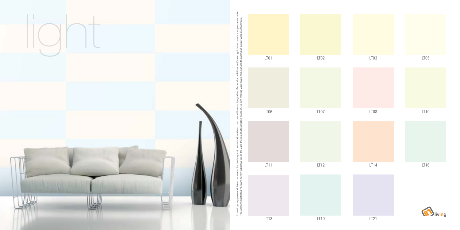

I colori qui rappresentati hanno valore indicativo in quanto sono stati realizzati con procedimento tipografico. Per scelte definitive verificare ogni tinta con una campionatura reale. The colours illustrated here are purely indicative since they are the result of a printing process. Before making your final choice check the selected colour with a real sample. ㅎ final മ് llt of a p ு  $\geq$  $\frac{5}{2}$  $rac{1}{2}$ I colori qui ra<br>The colours il



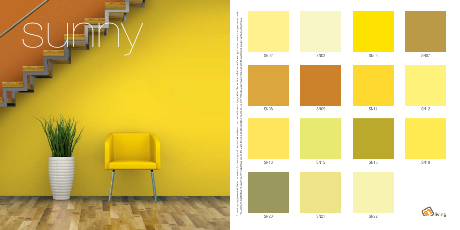





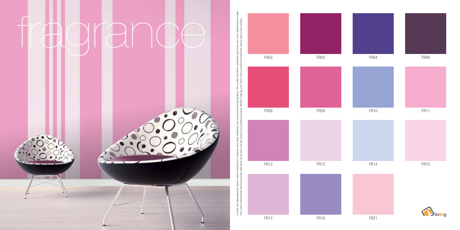

I colori qui rappresentati hanno valore indicativo in quanto sono stati realizzati con procedimento tipografico. Per scelte definitive verificare ogni tinta con una campionatura reale. The colours illustrated here are purely indicative since they are the result of a printing process. Before making your final choice check the selected colour with a real sample.등 final ာ့ ੋ മ് פו realizzati c<br>sult of a pr ⅇ  $\frac{1}{2}$ ane they ි ு  $\tilde{\pi}$ η 등 ∶≣ quira<br>ours I colori d<br>The cold



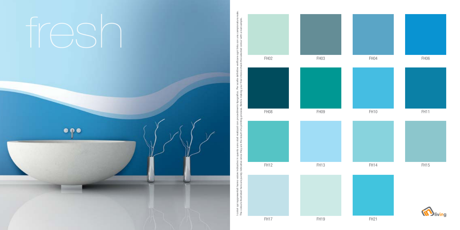



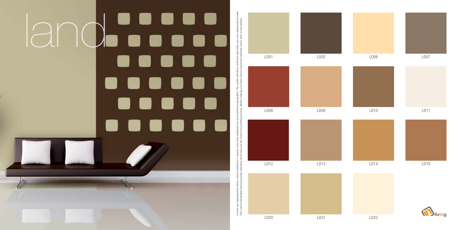

I colori qui rappresentati hanno valore indicativo in quanto sono stati realizzati con procedimento tipografico. Per scelte definitive verificare ogni tinta con una campionatura reale. n una campionatura<br>· with a real sample. The colours illustrated here are purely indicative since they are the result of a printing process. Before making your final choice check the selected colour with a real sample. $\equiv$ i tinta c<br>ed colo definitiv<br>choice your final nto tipografico. F<br>Before making y 요 의 ealizzati co<br>sult of a prii  $\frac{3}{4}$ they  $\frac{e}{\sigma} \geq$ 를 훈 colori qui rappresentati hanno<br>The colours illustrated here are





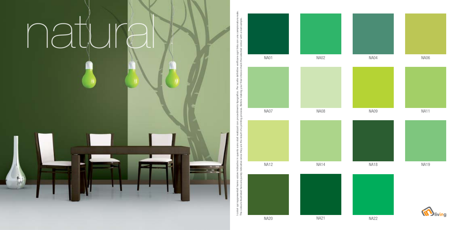

I colori qui rappresentati hanno valore indicativo in quanto sono stati realizzati con procedimento tipografico. Per scelte definitive verificare ogni tinta con una campionatura reale. The colours illustrated here are purely indicative since they are the result of a printing process. Before making your final choice check the selected colour with a real sample. a real: una<br>vith iБ ogni tinta c<br>lected colo the  $\frac{1}{\sqrt{2}}$ : ㅎ nto tipografico. Per scelte definiti<br>Before making your final choice ့် စွာ ealizzati c<br>ult of a pr the the<sub>)</sub> po. - a  $\frac{1}{2}$  $rac{6}{5}$ 등 I colori qui rappres<br>The colours illustra



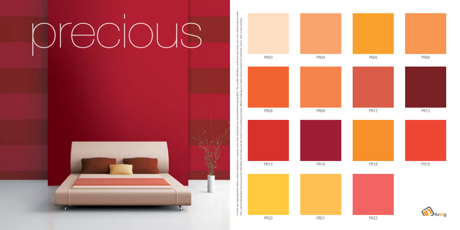## $\bigcirc$   $\bigcirc$   $\bigcirc$   $\bigcirc$   $\bigcirc$   $\bigcirc$   $\bigcirc$   $\bigcirc$   $\bigcirc$   $\bigcirc$   $\bigcirc$   $\bigcirc$   $\bigcirc$   $\bigcirc$   $\bigcirc$   $\bigcirc$   $\bigcirc$   $\bigcirc$   $\bigcirc$   $\bigcirc$   $\bigcirc$   $\bigcirc$   $\bigcirc$   $\bigcirc$   $\bigcirc$   $\bigcirc$   $\bigcirc$   $\bigcirc$   $\bigcirc$   $\bigcirc$   $\bigcirc$   $\bigcirc$   $\bigcirc$   $\bigcirc$   $\bigcirc$   $\bigcirc$   $\bigcirc$



I colori qui rappresentati hanno valore indicativo in quanto sono stati realizzati con procedimento tipografico. Per scelte definitive verificare ogni tinta con una campionatura reale. The colours illustrated here are purely indicative since they are the result of a printing process. Before making your final choice check the selected colour with a real sample.등 final Γg ore ക്  $\mathfrak{a}$  $\overline{\sigma}$  $\tilde{=}$ ιe ∶≣ qui ra<br>ours colori<br>The colo











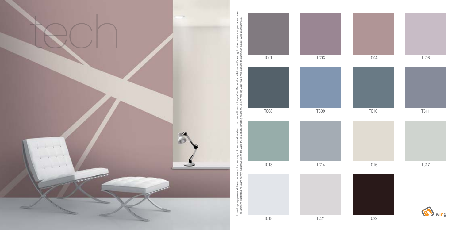TC01 TC03 TC04 TC06 TC18 TC21 TC21 TC22 TC08 TC09 TC10 TC11 TC13 TC14 TC16 TC17



**M**living